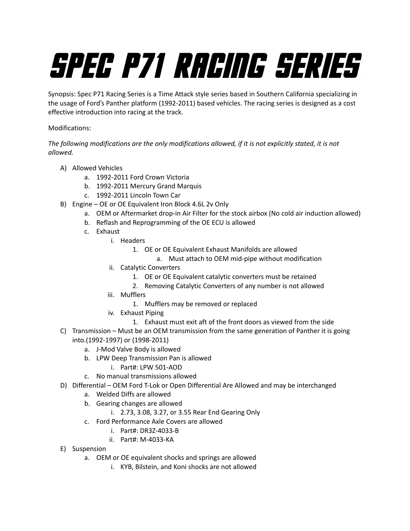# SPEC P71 RACING SERIES

Synopsis: Spec P71 Racing Series is a Time Attack style series based in Southern California specializing in the usage of Ford's Panther platform (1992-2011) based vehicles. The racing series is designed as a cost effective introduction into racing at the track.

# Modifications:

*The following modifications are the only modifications allowed, if it is not explicitly stated, it is not allowed.*

- A) Allowed Vehicles
	- a. 1992-2011 Ford Crown Victoria
	- b. 1992-2011 Mercury Grand Marquis
	- c. 1992-2011 Lincoln Town Car
- B) Engine OE or OE Equivalent Iron Block 4.6L 2v Only
	- a. OEM or Aftermarket drop-in Air Filter for the stock airbox (No cold air induction allowed)
	- b. Reflash and Reprogramming of the OE ECU is allowed
	- c. Exhaust
		- i. Headers
			- 1. OE or OE Equivalent Exhaust Manifolds are allowed
				- a. Must attach to OEM mid-pipe without modification
		- ii. Catalytic Converters
			- 1. OE or OE Equivalent catalytic converters must be retained
			- 2. Removing Catalytic Converters of any number is not allowed
		- iii. Mufflers
			- 1. Mufflers may be removed or replaced
		- iv. Exhaust Piping
			- 1. Exhaust must exit aft of the front doors as viewed from the side
- C) Transmission Must be an OEM transmission from the same generation of Panther it is going into.(1992-1997) or (1998-2011)
	- a. J-Mod Valve Body is allowed
	- b. LPW Deep Transmission Pan is allowed
		- i. Part#: LPW 501-AOD
	- c. No manual transmissions allowed
- D) Differential OEM Ford T-Lok or Open Differential Are Allowed and may be interchanged
	- a. Welded Diffs are allowed
	- b. Gearing changes are allowed
		- i. 2.73, 3.08, 3.27, or 3.55 Rear End Gearing Only
	- c. Ford Performance Axle Covers are allowed
		- i. Part#: DR3Z-4033-B
		- ii. Part#: M-4033-KA
- E) Suspension
	- a. OEM or OE equivalent shocks and springs are allowed
		- i. KYB, Bilstein, and Koni shocks are not allowed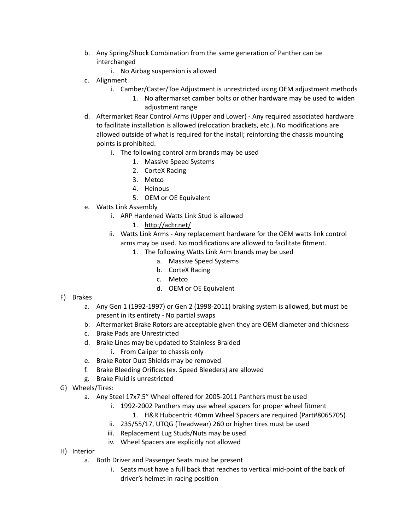- b. Any Spring/Shock Combination from the same generation of Panther can be interchanged
	- i. No Airbag suspension is allowed
- c. Alignment
	- i. Camber/Caster/Toe Adjustment is unrestricted using OEM adjustment methods
		- 1. No aftermarket camber bolts or other hardware may be used to widen adjustment range
- d. Aftermarket Rear Control Arms (Upper and Lower) Any required associated hardware to facilitate installation is allowed (relocation brackets, etc.). No modifications are allowed outside of what is required for the install; reinforcing the chassis mounting points is prohibited.
	- i. The following control arm brands may be used
		- 1. Massive Speed Systems
		- 2. CorteX Racing
		- 3. Metco
		- 4. Heinous
		- 5. OEM or OE Equivalent
- e. Watts Link Assembly
	- i. ARP Hardened Watts Link Stud is allowed
		- 1. <http://adtr.net/>
	- ii. Watts Link Arms Any replacement hardware for the OEM watts link control arms may be used. No modifications are allowed to facilitate fitment.
		- 1. The following Watts Link Arm brands may be used
			- a. Massive Speed Systems
			- b. CorteX Racing
			- c. Metco
			- d. OEM or OE Equivalent
- F) Brakes
	- a. Any Gen 1 (1992-1997) or Gen 2 (1998-2011) braking system is allowed, but must be present in its entirety - No partial swaps
	- b. Aftermarket Brake Rotors are acceptable given they are OEM diameter and thickness
	- c. Brake Pads are Unrestricted
	- d. Brake Lines may be updated to Stainless Braided
		- i. From Caliper to chassis only
	- e. Brake Rotor Dust Shields may be removed
	- f. Brake Bleeding Orifices (ex. Speed Bleeders) are allowed
	- g. Brake Fluid is unrestricted
- G) Wheels/Tires:
	- a. Any Steel 17x7.5" Wheel offered for 2005-2011 Panthers must be used
		- i. 1992-2002 Panthers may use wheel spacers for proper wheel fitment
			- 1. H&R Hubcentric 40mm Wheel Spacers are required (Part#8065705)
		- ii. 235/55/17, UTQG (Treadwear) 260 or higher tires must be used
		- iii. Replacement Lug Studs/Nuts may be used
		- iv. Wheel Spacers are explicitly not allowed
- H) Interior
	- a. Both Driver and Passenger Seats must be present
		- i. Seats must have a full back that reaches to vertical mid-point of the back of driver's helmet in racing position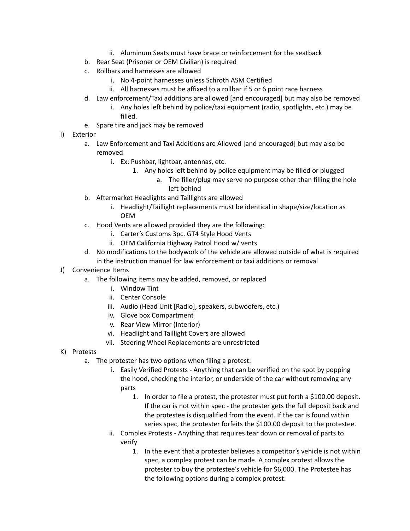- ii. Aluminum Seats must have brace or reinforcement for the seatback
- b. Rear Seat (Prisoner or OEM Civilian) is required
- c. Rollbars and harnesses are allowed
	- i. No 4-point harnesses unless Schroth ASM Certified
	- ii. All harnesses must be affixed to a rollbar if 5 or 6 point race harness
- d. Law enforcement/Taxi additions are allowed [and encouraged] but may also be removed
	- i. Any holes left behind by police/taxi equipment (radio, spotlights, etc.) may be filled.
- e. Spare tire and jack may be removed

# I) Exterior

- a. Law Enforcement and Taxi Additions are Allowed [and encouraged] but may also be removed
	- i. Ex: Pushbar, lightbar, antennas, etc.
		- 1. Any holes left behind by police equipment may be filled or plugged
			- a. The filler/plug may serve no purpose other than filling the hole left behind
- b. Aftermarket Headlights and Taillights are allowed
	- i. Headlight/Taillight replacements must be identical in shape/size/location as OEM
- c. Hood Vents are allowed provided they are the following:
	- i. Carter's Customs 3pc. GT4 Style Hood Vents
	- ii. OEM California Highway Patrol Hood w/ vents
- d. No modifications to the bodywork of the vehicle are allowed outside of what is required in the instruction manual for law enforcement or taxi additions or removal

### J) Convenience Items

- a. The following items may be added, removed, or replaced
	- i. Window Tint
	- ii. Center Console
	- iii. Audio (Head Unit [Radio], speakers, subwoofers, etc.)
	- iv. Glove box Compartment
	- v. Rear View Mirror (Interior)
	- vi. Headlight and Taillight Covers are allowed
	- vii. Steering Wheel Replacements are unrestricted

### K) Protests

- a. The protester has two options when filing a protest:
	- i. Easily Verified Protests Anything that can be verified on the spot by popping the hood, checking the interior, or underside of the car without removing any parts
		- 1. In order to file a protest, the protester must put forth a \$100.00 deposit. If the car is not within spec - the protester gets the full deposit back and the protestee is disqualified from the event. If the car is found within series spec, the protester forfeits the \$100.00 deposit to the protestee.
	- ii. Complex Protests Anything that requires tear down or removal of parts to verify
		- 1. In the event that a protester believes a competitor's vehicle is not within spec, a complex protest can be made. A complex protest allows the protester to buy the protestee's vehicle for \$6,000. The Protestee has the following options during a complex protest: